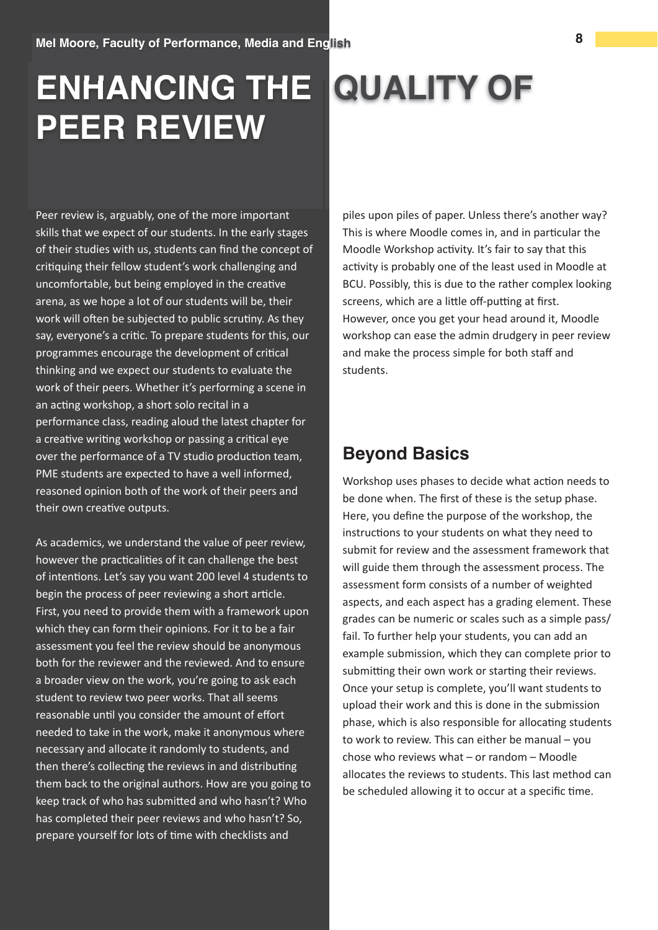## ENHANCING THE QUALITY OF **PEER REVIEW**

Peer review is, arguably, one of the more important skills that we expect of our students. In the early stages of their studies with us, students can find the concept of critiquing their fellow student's work challenging and uncomfortable, but being employed in the creative arena, as we hope a lot of our students will be, their work will often be subjected to public scrutiny. As they say, everyone's a critic. To prepare students for this, our programmes encourage the development of critical thinking and we expect our students to evaluate the work of their peers. Whether it's performing a scene in an acting workshop, a short solo recital in a performance class, reading aloud the latest chapter for a creative writing workshop or passing a critical eye over the performance of a TV studio production team, PME students are expected to have a well informed, reasoned opinion both of the work of their peers and their own creative outputs.

As academics, we understand the value of peer review, however the practicalities of it can challenge the best of intentions. Let's say you want 200 level 4 students to begin the process of peer reviewing a short article. First, you need to provide them with a framework upon which they can form their opinions. For it to be a fair assessment you feel the review should be anonymous both for the reviewer and the reviewed. And to ensure a broader view on the work, you're going to ask each student to review two peer works. That all seems reasonable until you consider the amount of effort needed to take in the work, make it anonymous where necessary and allocate it randomly to students, and then there's collecting the reviews in and distributing them back to the original authors. How are you going to keep track of who has submitted and who hasn't? Who has completed their peer reviews and who hasn't? So, prepare yourself for lots of time with checklists and

piles upon piles of paper. Unless there's another way? This is where Moodle comes in, and in particular the Moodle Workshop activity. It's fair to say that this activity is probably one of the least used in Moodle at BCU. Possibly, this is due to the rather complex looking screens, which are a little off-putting at first. However, once you get your head around it, Moodle workshop can ease the admin drudgery in peer review and make the process simple for both staff and students.

## **Bevond Basics**

Workshop uses phases to decide what action needs to be done when. The first of these is the setup phase. Here, you define the purpose of the workshop, the instructions to your students on what they need to submit for review and the assessment framework that will guide them through the assessment process. The assessment form consists of a number of weighted aspects, and each aspect has a grading element. These grades can be numeric or scales such as a simple pass/ fail. To further help your students, you can add an example submission, which they can complete prior to submitting their own work or starting their reviews. Once your setup is complete, you'll want students to upload their work and this is done in the submission phase, which is also responsible for allocating students to work to review. This can either be manual - you chose who reviews what  $-$  or random  $-$  Moodle allocates the reviews to students. This last method can be scheduled allowing it to occur at a specific time.